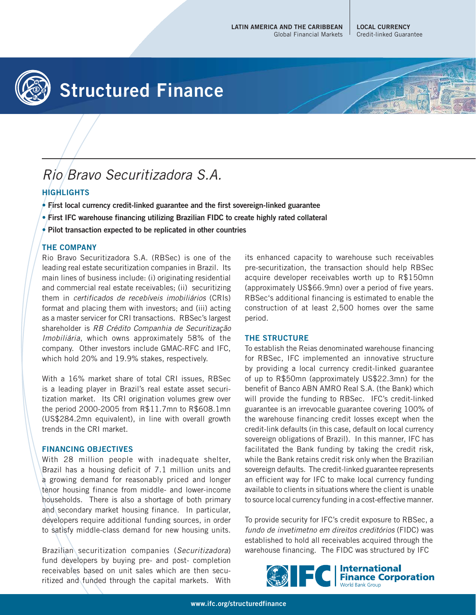**LOCAL CURRENCY** Credit-linked Guarantee



# **Structured Finance**

## Rio Bravo Securitizadora S.A.

### **HIGHLIGHTS**

- **First local currency credit-linked guarantee and the first sovereign-linked guarantee**
- **First IFC warehouse financing utilizing Brazilian FIDC to create highly rated collateral**
- **Pilot transaction expected to be replicated in other countries**

#### **THE COMPANY**

Rio Bravo Securitizadora S.A. (RBSec) is one of the leading real estate securitization companies in Brazil. Its main lines of business include: (i) originating residential and commercial real estate receivables; (ii) securitizing them in certificados de recebíveis imobiliários (CRIs) format and placing them with investors; and (iii) acting as a master servicer for CRI transactions. RBSec's largest shareholder is RB Crédito Companhia de Securitização Imobiliária, which owns approximately 58% of the company. Other investors include GMAC-RFC and IFC, which hold 20% and 19.9% stakes, respectively.

With a 16% market share of total CRI issues, RBSec is a leading player in Brazil's real estate asset securitization market. Its CRI origination volumes grew over the period 2000-2005 from R\$11.7mn to R\$608.1mn (US\$284.2mn equivalent), in line with overall growth trends in the CRI market.

#### **FINANCING OBJECTIVES**

With 28 million people with inadequate shelter, Brazil has a housing deficit of 7.1 million units and a growing demand for reasonably priced and longer tenor housing finance from middle- and lower-income households. There is also a shortage of both primary and secondary market housing finance. In particular, developers require additional funding sources, in order to satisfy middle-class demand for new housing units.

Brazilian securitization companies (Securitizadora) fund developers by buying pre- and post- completion receivables based on unit sales which are then securitized and funded through the capital markets. With its enhanced capacity to warehouse such receivables pre-securitization, the transaction should help RBSec acquire developer receivables worth up to R\$150mn (approximately US\$66.9mn) over a period of five years. RBSec's additional financing is estimated to enable the construction of at least 2,500 homes over the same period.

#### **THE STRUCTURE**

To establish the Reias denominated warehouse financing for RBSec, IFC implemented an innovative structure by providing a local currency credit-linked guarantee of up to R\$50mn (approximately US\$22.3mn) for the benefit of Banco ABN AMRO Real S.A. (the Bank) which will provide the funding to RBSec. IFC's credit-linked guarantee is an irrevocable guarantee covering 100% of the warehouse financing credit losses except when the credit-link defaults (in this case, default on local currency sovereign obligations of Brazil). In this manner, IFC has facilitated the Bank funding by taking the credit risk, while the Bank retains credit risk only when the Brazilian sovereign defaults. The credit-linked guarantee represents an efficient way for IFC to make local currency funding available to clients in situations where the client is unable to source local currency funding in a cost-effective manner.

To provide security for IFC's credit exposure to RBSec, a fundo de invetimetno em direitos creditórios (FIDC) was established to hold all receivables acquired through the warehouse financing. The FIDC was structured by IFC